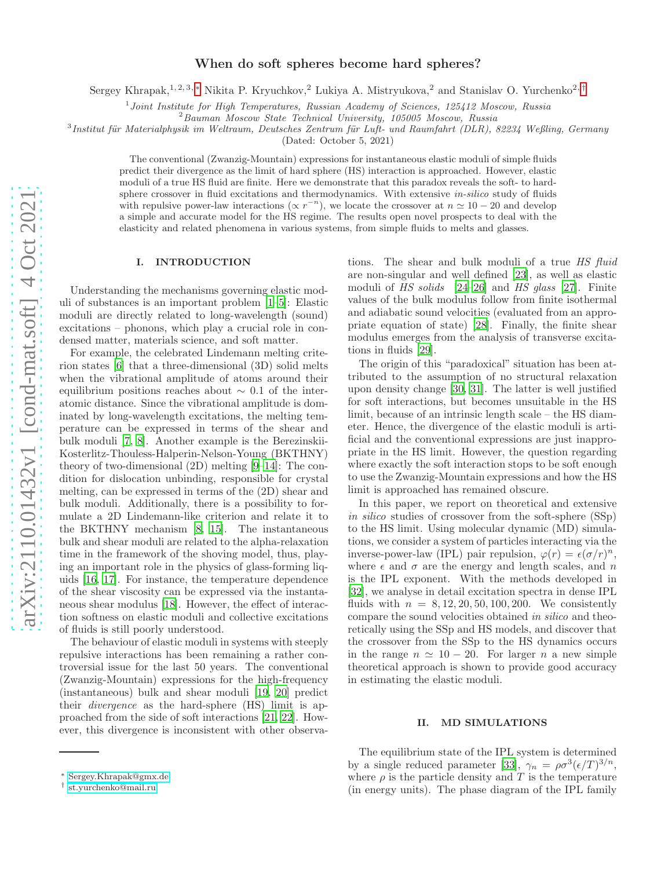# When do soft spheres become hard spheres?

Sergey Khrapak,<sup>1, 2, 3,</sup> [∗](#page-0-0) Nikita P. Kryuchkov,<sup>2</sup> Lukiya A. Mistryukova,<sup>2</sup> and Stanislav O. Yurchenko<sup>2,[†](#page-0-1)</sup>

<sup>1</sup> Joint Institute for High Temperatures, Russian Academy of Sciences, 125412 Moscow, Russia

 $3$ Institut für Materialphysik im Weltraum, Deutsches Zentrum für Luft- und Raumfahrt (DLR), 82234 Weßling, Germany

(Dated: October 5, 2021)

The conventional (Zwanzig-Mountain) expressions for instantaneous elastic moduli of simple fluids predict their divergence as the limit of hard sphere (HS) interaction is approached. However, elastic moduli of a true HS fluid are finite. Here we demonstrate that this paradox reveals the soft- to hardsphere crossover in fluid excitations and thermodynamics. With extensive *in-silico* study of fluids with repulsive power-law interactions ( $\propto r^{-n}$ ), we locate the crossover at  $n \simeq 10 - 20$  and develop a simple and accurate model for the HS regime. The results open novel prospects to deal with the elasticity and related phenomena in various systems, from simple fluids to melts and glasses.

#### I. INTRODUCTION

Understanding the mechanisms governing elastic moduli of substances is an important problem [\[1](#page-4-0)[–5\]](#page-4-1): Elastic moduli are directly related to long-wavelength (sound) excitations – phonons, which play a crucial role in condensed matter, materials science, and soft matter.

For example, the celebrated Lindemann melting criterion states [\[6](#page-4-2)] that a three-dimensional (3D) solid melts when the vibrational amplitude of atoms around their equilibrium positions reaches about  $\sim$  0.1 of the interatomic distance. Since the vibrational amplitude is dominated by long-wavelength excitations, the melting temperature can be expressed in terms of the shear and bulk moduli [\[7,](#page-4-3) [8](#page-4-4)]. Another example is the Berezinskii-Kosterlitz-Thouless-Halperin-Nelson-Young (BKTHNY) theory of two-dimensional (2D) melting [\[9](#page-4-5)[–14\]](#page-4-6): The condition for dislocation unbinding, responsible for crystal melting, can be expressed in terms of the (2D) shear and bulk moduli. Additionally, there is a possibility to formulate a 2D Lindemann-like criterion and relate it to the BKTHNY mechanism [\[8,](#page-4-4) [15\]](#page-4-7). The instantaneous bulk and shear moduli are related to the alpha-relaxation time in the framework of the shoving model, thus, playing an important role in the physics of glass-forming liquids [\[16,](#page-4-8) [17](#page-4-9)]. For instance, the temperature dependence of the shear viscosity can be expressed via the instantaneous shear modulus [\[18\]](#page-4-10). However, the effect of interaction softness on elastic moduli and collective excitations of fluids is still poorly understood.

The behaviour of elastic moduli in systems with steeply repulsive interactions has been remaining a rather controversial issue for the last 50 years. The conventional (Zwanzig-Mountain) expressions for the high-frequency (instantaneous) bulk and shear moduli [\[19](#page-4-11), [20\]](#page-4-12) predict their divergence as the hard-sphere (HS) limit is approached from the side of soft interactions [\[21](#page-4-13), [22\]](#page-4-14). However, this divergence is inconsistent with other observa-

tions. The shear and bulk moduli of a true HS fluid are non-singular and well defined [\[23\]](#page-4-15), as well as elastic moduli of HS solids [\[24–](#page-4-16)[26\]](#page-4-17) and HS glass [\[27\]](#page-4-18). Finite values of the bulk modulus follow from finite isothermal and adiabatic sound velocities (evaluated from an appropriate equation of state) [\[28\]](#page-4-19). Finally, the finite shear modulus emerges from the analysis of transverse excitations in fluids [\[29\]](#page-4-20).

The origin of this "paradoxical" situation has been attributed to the assumption of no structural relaxation upon density change [\[30,](#page-4-21) [31\]](#page-4-22). The latter is well justified for soft interactions, but becomes unsuitable in the HS limit, because of an intrinsic length scale – the HS diameter. Hence, the divergence of the elastic moduli is artificial and the conventional expressions are just inappropriate in the HS limit. However, the question regarding where exactly the soft interaction stops to be soft enough to use the Zwanzig-Mountain expressions and how the HS limit is approached has remained obscure.

In this paper, we report on theoretical and extensive in silico studies of crossover from the soft-sphere (SSp) to the HS limit. Using molecular dynamic (MD) simulations, we consider a system of particles interacting via the inverse-power-law (IPL) pair repulsion,  $\varphi(r) = \epsilon(\sigma/r)^n$ , where  $\epsilon$  and  $\sigma$  are the energy and length scales, and  $n$ is the IPL exponent. With the methods developed in [\[32\]](#page-5-0), we analyse in detail excitation spectra in dense IPL fluids with  $n = 8, 12, 20, 50, 100, 200$ . We consistently compare the sound velocities obtained in silico and theoretically using the SSp and HS models, and discover that the crossover from the SSp to the HS dynamics occurs in the range  $n \approx 10 - 20$ . For larger n a new simple theoretical approach is shown to provide good accuracy in estimating the elastic moduli.

#### II. MD SIMULATIONS

The equilibrium state of the IPL system is determined by a single reduced parameter [\[33](#page-5-1)],  $\gamma_n = \rho \sigma^3 (\epsilon/T)^{3/n}$ , where  $\rho$  is the particle density and T is the temperature (in energy units). The phase diagram of the IPL family

<sup>2</sup>Bauman Moscow State Technical University, 105005 Moscow, Russia

<span id="page-0-0"></span><sup>∗</sup> [Sergey.Khrapak@gmx.de](mailto:Sergey.Khrapak@gmx.de)

<span id="page-0-1"></span><sup>†</sup> [st.yurchenko@mail.ru](mailto:st.yurchenko@mail.ru)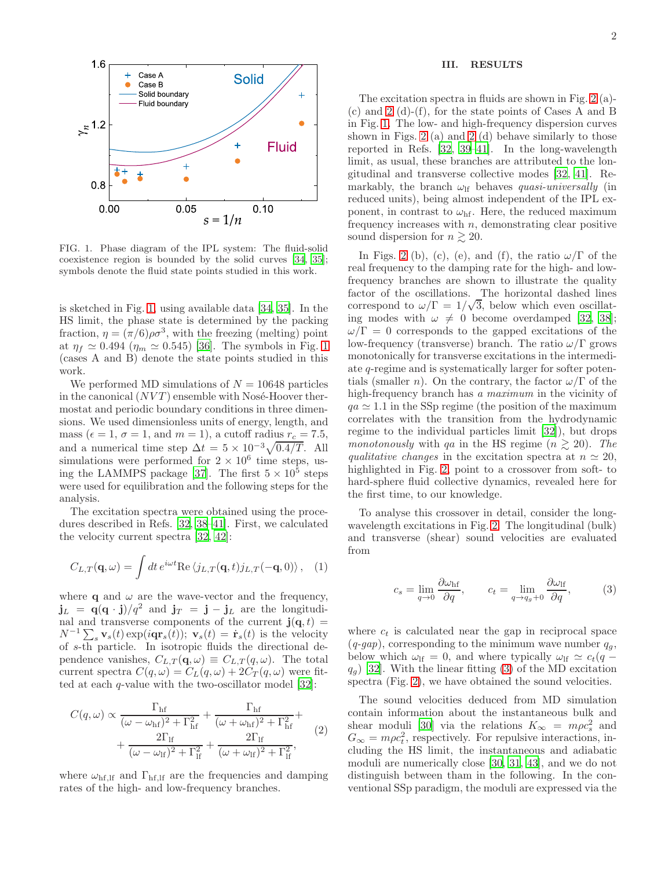

<span id="page-1-0"></span>FIG. 1. Phase diagram of the IPL system: The fluid-solid coexistence region is bounded by the solid curves [\[34,](#page-5-2) [35\]](#page-5-3); symbols denote the fluid state points studied in this work.

is sketched in Fig. [1,](#page-1-0) using available data [\[34,](#page-5-2) [35](#page-5-3)]. In the HS limit, the phase state is determined by the packing fraction,  $\eta = (\pi/6)\rho\sigma^3$ , with the freezing (melting) point at  $\eta_f \simeq 0.494$  ( $\eta_m \simeq 0.545$ ) [\[36](#page-5-4)]. The symbols in Fig. [1](#page-1-0) (cases A and B) denote the state points studied in this work.

We performed MD simulations of  $N = 10648$  particles in the canonical  $(NVT)$  ensemble with Nosé-Hoover thermostat and periodic boundary conditions in three dimensions. We used dimensionless units of energy, length, and mass ( $\epsilon = 1$ ,  $\sigma = 1$ , and  $m = 1$ ), a cutoff radius  $r_c = 7.5$ , and a numerical time step  $\Delta t = 5 \times 10^{-3} \sqrt{0.4/T}$ . All simulations were performed for  $2 \times 10^6$  time steps, us-ing the LAMMPS package [\[37\]](#page-5-5). The first  $5 \times 10^5$  steps were used for equilibration and the following steps for the analysis.

The excitation spectra were obtained using the procedures described in Refs. [\[32](#page-5-0), [38](#page-5-6)[–41\]](#page-5-7). First, we calculated the velocity current spectra [\[32,](#page-5-0) [42](#page-5-8)]:

$$
C_{L,T}(\mathbf{q},\omega) = \int dt \, e^{i\omega t} \text{Re}\,\langle j_{L,T}(\mathbf{q},t) j_{L,T}(-\mathbf{q},0) \rangle \,, \quad (1)
$$

where **q** and  $\omega$  are the wave-vector and the frequency,  $j_L = q(q \cdot j)/q^2$  and  $j_T = j - j_L$  are the longitudinal and transverse components of the current  $\mathbf{j}(\mathbf{q}, t)$  =  $N^{-1}\sum_s \mathbf{v}_s(t) \exp(i\mathbf{qr}_s(t)); \mathbf{v}_s(t) = \dot{\mathbf{r}}_s(t)$  is the velocity of s-th particle. In isotropic fluids the directional dependence vanishes,  $C_{L,T}(\mathbf{q},\omega) \equiv C_{L,T}(q,\omega)$ . The total current spectra  $C(q,\omega) = C_L(q,\omega) + 2C_T(q,\omega)$  were fitted at each  $q$ -value with the two-oscillator model [\[32](#page-5-0)]:

$$
C(q,\omega) \propto \frac{\Gamma_{\rm hf}}{(\omega - \omega_{\rm hf})^2 + \Gamma_{\rm hf}^2} + \frac{\Gamma_{\rm hf}}{(\omega + \omega_{\rm hf})^2 + \Gamma_{\rm hf}^2} + \frac{2\Gamma_{\rm lf}}{(\omega - \omega_{\rm lf})^2 + \Gamma_{\rm lf}^2} + \frac{2\Gamma_{\rm lf}}{(\omega + \omega_{\rm lf})^2 + \Gamma_{\rm lf}^2},
$$
(2)

where  $\omega_{\text{hf},\text{lf}}$  and  $\Gamma_{\text{hf},\text{lf}}$  are the frequencies and damping rates of the high- and low-frequency branches.

## III. RESULTS

The excitation spectra in fluids are shown in Fig. [2](#page-2-0) (a)- (c) and [2](#page-2-0) (d)-(f), for the state points of Cases A and B in Fig. [1.](#page-1-0) The low- and high-frequency dispersion curves shown in Figs. [2](#page-2-0) (a) and [2](#page-2-0) (d) behave similarly to those reported in Refs. [\[32,](#page-5-0) [39](#page-5-9)[–41](#page-5-7)]. In the long-wavelength limit, as usual, these branches are attributed to the longitudinal and transverse collective modes [\[32](#page-5-0), [41](#page-5-7)]. Remarkably, the branch  $\omega_{\text{lf}}$  behaves quasi-universally (in reduced units), being almost independent of the IPL exponent, in contrast to  $\omega_{\text{hf}}$ . Here, the reduced maximum frequency increases with  $n$ , demonstrating clear positive sound dispersion for  $n \gtrsim 20$ .

In Figs. [2](#page-2-0) (b), (c), (e), and (f), the ratio  $\omega/\Gamma$  of the real frequency to the damping rate for the high- and lowfrequency branches are shown to illustrate the quality factor of the oscillations. The horizontal dashed lines correspond to  $\omega/\Gamma = 1/\sqrt{3}$ , below which even oscillating modes with  $\omega \neq 0$  become overdamped [\[32,](#page-5-0) [38\]](#page-5-6);  $\omega/\Gamma = 0$  corresponds to the gapped excitations of the low-frequency (transverse) branch. The ratio  $\omega/\Gamma$  grows monotonically for transverse excitations in the intermediate q-regime and is systematically larger for softer potentials (smaller *n*). On the contrary, the factor  $\omega/\Gamma$  of the high-frequency branch has a maximum in the vicinity of  $qa \approx 1.1$  in the SSp regime (the position of the maximum correlates with the transition from the hydrodynamic regime to the individual particles limit [\[32\]](#page-5-0)), but drops monotonously with qa in the HS regime  $(n \geq 20)$ . The qualitative changes in the excitation spectra at  $n \approx 20$ , highlighted in Fig. [2,](#page-2-0) point to a crossover from soft- to hard-sphere fluid collective dynamics, revealed here for the first time, to our knowledge.

To analyse this crossover in detail, consider the longwavelength excitations in Fig. [2.](#page-2-0) The longitudinal (bulk) and transverse (shear) sound velocities are evaluated from

<span id="page-1-1"></span>
$$
c_s = \lim_{q \to 0} \frac{\partial \omega_{\rm hf}}{\partial q}, \qquad c_t = \lim_{q \to q_g + 0} \frac{\partial \omega_{\rm If}}{\partial q}, \qquad (3)
$$

where  $c_t$  is calculated near the gap in reciprocal space  $(q\text{-}gap)$ , corresponding to the minimum wave number  $q_g$ , below which  $\omega_{\text{lf}} = 0$ , and where typically  $\omega_{\text{lf}} \simeq c_t(q$  $q_g$ ) [\[32\]](#page-5-0). With the linear fitting [\(3\)](#page-1-1) of the MD excitation spectra (Fig. [2\)](#page-2-0), we have obtained the sound velocities.

The sound velocities deduced from MD simulation contain information about the instantaneous bulk and shear moduli [\[30](#page-4-21)] via the relations  $K_{\infty} = m \rho c_s^2$  and  $G_{\infty} = m\rho c_t^2$ , respectively. For repulsive interactions, including the HS limit, the instantaneous and adiabatic moduli are numerically close [\[30](#page-4-21), [31](#page-4-22), [43](#page-5-10)], and we do not distinguish between tham in the following. In the conventional SSp paradigm, the moduli are expressed via the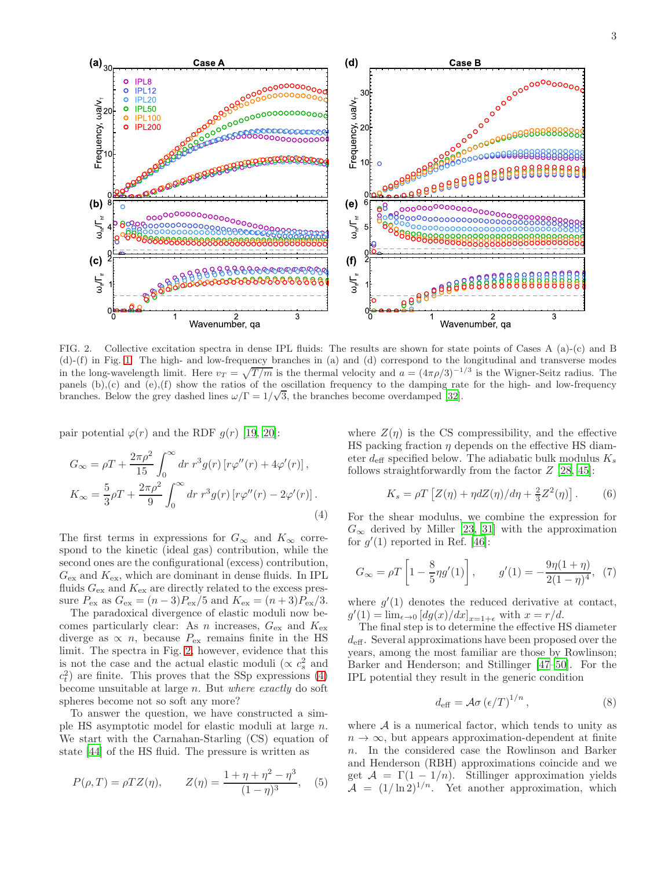

<span id="page-2-0"></span>FIG. 2. Collective excitation spectra in dense IPL fluids: The results are shown for state points of Cases A (a)-(c) and B (d)-(f) in Fig. [1.](#page-1-0) The high- and low-frequency branches in (a) and (d) correspond to the longitudinal and transverse modes in the long-wavelength limit. Here  $v_T = \sqrt{T/m}$  is the thermal velocity and  $a = (4\pi\rho/3)^{-1/3}$  is the Wigner-Seitz radius. The panels  $(b)$ , $(c)$  and  $(e)$ , $(f)$  show the ratios of the oscillation frequency to the damping rate for the high- and low-frequency branches. Below the grey dashed lines  $\omega/\Gamma = 1/\sqrt{3}$ , the branches become overdamped [\[32](#page-5-0)].

pair potential  $\varphi(r)$  and the RDF  $g(r)$  [\[19,](#page-4-11) [20\]](#page-4-12):

<span id="page-2-1"></span>
$$
G_{\infty} = \rho T + \frac{2\pi\rho^2}{15} \int_0^{\infty} dr \ r^3 g(r) \left[ r\varphi''(r) + 4\varphi'(r) \right],
$$
  
\n
$$
K_{\infty} = \frac{5}{3}\rho T + \frac{2\pi\rho^2}{9} \int_0^{\infty} dr \ r^3 g(r) \left[ r\varphi''(r) - 2\varphi'(r) \right].
$$
\n(4)

The first terms in expressions for  $G_{\infty}$  and  $K_{\infty}$  correspond to the kinetic (ideal gas) contribution, while the second ones are the configurational (excess) contribution,  $G_{\text{ex}}$  and  $K_{\text{ex}}$ , which are dominant in dense fluids. In IPL fluids  $G_{\text{ex}}$  and  $K_{\text{ex}}$  are directly related to the excess pressure  $P_{\text{ex}}$  as  $G_{\text{ex}} = (n-3)P_{\text{ex}}/5$  and  $K_{\text{ex}} = (n+3)P_{\text{ex}}/3$ .

The paradoxical divergence of elastic moduli now becomes particularly clear: As n increases,  $G_{\text{ex}}$  and  $K_{\text{ex}}$ diverge as  $\propto n$ , because  $P_{\text{ex}}$  remains finite in the HS limit. The spectra in Fig. [2,](#page-2-0) however, evidence that this is not the case and the actual elastic moduli ( $\propto c_s^2$  and  $c_t^2$ ) are finite. This proves that the SSp expressions [\(4\)](#page-2-1) become unsuitable at large n. But where exactly do soft spheres become not so soft any more?

To answer the question, we have constructed a simple HS asymptotic model for elastic moduli at large n. We start with the Carnahan-Starling (CS) equation of state [\[44](#page-5-11)] of the HS fluid. The pressure is written as

$$
P(\rho, T) = \rho T Z(\eta), \qquad Z(\eta) = \frac{1 + \eta + \eta^2 - \eta^3}{(1 - \eta)^3},
$$
 (5)

where  $Z(\eta)$  is the CS compressibility, and the effective HS packing fraction  $\eta$  depends on the effective HS diameter  $d_{\text{eff}}$  specified below. The adiabatic bulk modulus  $K_s$ follows straightforwardly from the factor  $Z$  [\[28,](#page-4-19) [45\]](#page-5-12):

<span id="page-2-2"></span>
$$
K_s = \rho T \left[ Z(\eta) + \eta dZ(\eta) / d\eta + \frac{2}{3} Z^2(\eta) \right].
$$
 (6)

For the shear modulus, we combine the expression for  $G_{\infty}$  derived by Miller [\[23](#page-4-15), [31\]](#page-4-22) with the approximation for  $g'(1)$  reported in Ref. [\[46\]](#page-5-13):

<span id="page-2-3"></span>
$$
G_{\infty} = \rho T \left[ 1 - \frac{8}{5} \eta g'(1) \right], \qquad g'(1) = -\frac{9\eta (1 + \eta)}{2(1 - \eta)^4}, \tag{7}
$$

where  $g'(1)$  denotes the reduced derivative at contact,  $g'(1) = \lim_{\epsilon \to 0} [dg(x)/dx]_{x=1+\epsilon}$  with  $x = r/d$ .

The final step is to determine the effective HS diameter  $d_{\text{eff}}$ . Several approximations have been proposed over the years, among the most familiar are those by Rowlinson; Barker and Henderson; and Stillinger [\[47](#page-5-14)[–50](#page-5-15)]. For the IPL potential they result in the generic condition

<span id="page-2-4"></span>
$$
d_{\text{eff}} = \mathcal{A}\sigma \left(\epsilon/T\right)^{1/n},\tag{8}
$$

where  $A$  is a numerical factor, which tends to unity as  $n \to \infty$ , but appears approximation-dependent at finite n. In the considered case the Rowlinson and Barker and Henderson (RBH) approximations coincide and we get  $A = \Gamma(1 - 1/n)$ . Stillinger approximation yields  $\mathcal{A} = (1/\ln 2)^{1/n}$ . Yet another approximation, which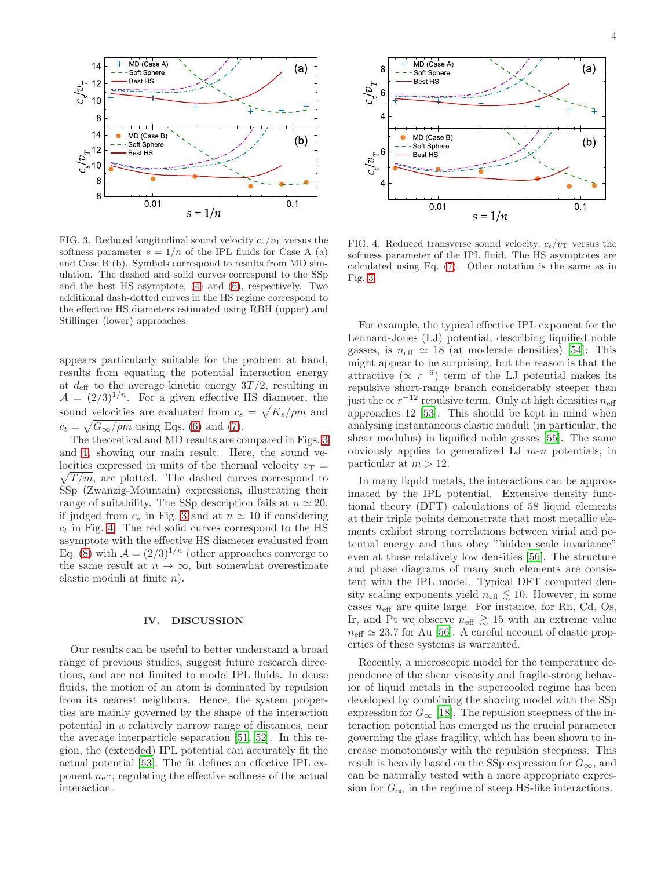

<span id="page-3-0"></span>FIG. 3. Reduced longitudinal sound velocity  $c_s/v_T$  versus the softness parameter  $s = 1/n$  of the IPL fluids for Case A (a) and Case B (b). Symbols correspond to results from MD simulation. The dashed and solid curves correspond to the SSp and the best HS asymptote, [\(4\)](#page-2-1) and [\(6\)](#page-2-2), respectively. Two additional dash-dotted curves in the HS regime correspond to the effective HS diameters estimated using RBH (upper) and Stillinger (lower) approaches.

appears particularly suitable for the problem at hand, results from equating the potential interaction energy at  $d_{\text{eff}}$  to the average kinetic energy 3T/2, resulting in  $A = (2/3)^{1/n}$ . For a given effective HS diameter, the sound velocities are evaluated from  $c_s = \sqrt{K_s/\rho m}$  and  $c_t = \sqrt{G_{\infty}/\rho m}$  using Eqs. [\(6\)](#page-2-2) and [\(7\)](#page-2-3).

The theoretical and MD results are compared in Figs. [3](#page-3-0) and [4,](#page-3-1) showing our main result. Here, the sound velocities expressed in units of the thermal velocity  $v_T =$  $\sqrt{T/m}$ , are plotted. The dashed curves correspond to SSp (Zwanzig-Mountain) expressions, illustrating their range of suitability. The SSp description fails at  $n \approx 20$ , if judged from  $c_s$  in Fig. [3](#page-3-0) and at  $n \approx 10$  if considering  $c_t$  in Fig. [4.](#page-3-1) The red solid curves correspond to the HS asymptote with the effective HS diameter evaluated from Eq. [\(8\)](#page-2-4) with  $\mathcal{A} = (2/3)^{1/n}$  (other approaches converge to the same result at  $n \to \infty$ , but somewhat overestimate elastic moduli at finite n).

#### IV. DISCUSSION

Our results can be useful to better understand a broad range of previous studies, suggest future research directions, and are not limited to model IPL fluids. In dense fluids, the motion of an atom is dominated by repulsion from its nearest neighbors. Hence, the system properties are mainly governed by the shape of the interaction potential in a relatively narrow range of distances, near the average interparticle separation [\[51](#page-5-16), [52\]](#page-5-17). In this region, the (extended) IPL potential can accurately fit the actual potential [\[53\]](#page-5-18). The fit defines an effective IPL exponent  $n_{\text{eff}}$ , regulating the effective softness of the actual interaction.



<span id="page-3-1"></span>FIG. 4. Reduced transverse sound velocity,  $c_t/v_T$  versus the softness parameter of the IPL fluid. The HS asymptotes are calculated using Eq. [\(7\)](#page-2-3). Other notation is the same as in Fig. [3.](#page-3-0)

For example, the typical effective IPL exponent for the Lennard-Jones (LJ) potential, describing liquified noble gasses, is  $n_{\text{eff}} \simeq 18$  (at moderate densities) [\[54](#page-5-19)]: This might appear to be surprising, but the reason is that the attractive  $(\propto r^{-6})$  term of the LJ potential makes its repulsive short-range branch considerably steeper than just the  $\propto r^{-12}$  repulsive term. Only at high densities  $n_{\text{eff}}$ approaches 12 [\[53\]](#page-5-18). This should be kept in mind when analysing instantaneous elastic moduli (in particular, the shear modulus) in liquified noble gasses [\[55](#page-5-20)]. The same obviously applies to generalized LJ  $m-n$  potentials, in particular at  $m > 12$ .

In many liquid metals, the interactions can be approximated by the IPL potential. Extensive density functional theory (DFT) calculations of 58 liquid elements at their triple points demonstrate that most metallic elements exhibit strong correlations between virial and potential energy and thus obey "hidden scale invariance" even at these relatively low densities [\[56](#page-5-21)]. The structure and phase diagrams of many such elements are consistent with the IPL model. Typical DFT computed density scaling exponents yield  $n_{\text{eff}} \lesssim 10$ . However, in some cases  $n_{\text{eff}}$  are quite large. For instance, for Rh, Cd, Os, Ir, and Pt we observe  $n_{\text{eff}} \gtrsim 15$  with an extreme value  $n_{\text{eff}} \simeq 23.7$  for Au [\[56\]](#page-5-21). A careful account of elastic properties of these systems is warranted.

Recently, a microscopic model for the temperature dependence of the shear viscosity and fragile-strong behavior of liquid metals in the supercooled regime has been developed by combining the shoving model with the SSp expression for  $G_{\infty}$  [\[18](#page-4-10)]. The repulsion steepness of the interaction potential has emerged as the crucial parameter governing the glass fragility, which has been shown to increase monotonously with the repulsion steepness. This result is heavily based on the SSp expression for  $G_{\infty}$ , and can be naturally tested with a more appropriate expression for  $G_{\infty}$  in the regime of steep HS-like interactions.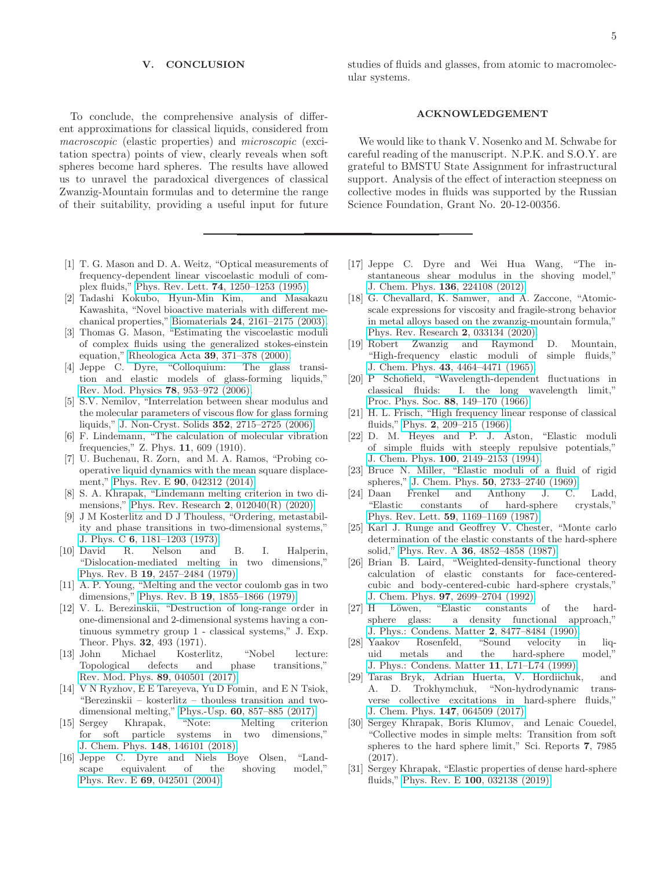### V. CONCLUSION

To conclude, the comprehensive analysis of different approximations for classical liquids, considered from macroscopic (elastic properties) and microscopic (excitation spectra) points of view, clearly reveals when soft spheres become hard spheres. The results have allowed us to unravel the paradoxical divergences of classical Zwanzig-Mountain formulas and to determine the range of their suitability, providing a useful input for future

- <span id="page-4-0"></span>[1] T. G. Mason and D. A. Weitz, "Optical measurements of frequency-dependent linear viscoelastic moduli of complex fluids," Phys. Rev. Lett. 74[, 1250–1253 \(1995\).](http://dx.doi.org/10.1103/physrevlett.74.1250)
- [2] Tadashi Kokubo, Hyun-Min Kim, and Masakazu Kawashita, "Novel bioactive materials with different mechanical properties," Biomaterials 24[, 2161–2175 \(2003\).](http://dx.doi.org/ 10.1016/s0142-9612(03)00044-9)
- [3] Thomas G. Mason, "Estimating the viscoelastic moduli of complex fluids using the generalized stokes-einstein equation," Rheologica Acta 39[, 371–378 \(2000\).](http://dx.doi.org/10.1007/s003970000094)
- [4] Jeppe C. Dyre, "Colloquium: The glass transition and elastic models of glass-forming liquids," [Rev. Mod. Physics](http://dx.doi.org/10.1103/revmodphys.78.953) 78, 953–972 (2006).
- <span id="page-4-1"></span>[5] S.V. Nemilov, "Interrelation between shear modulus and the molecular parameters of viscous flow for glass forming liquids," [J. Non-Cryst. Solids](http://dx.doi.org/10.1016/j.jnoncrysol.2006.04.001) 352, 2715–2725 (2006).
- <span id="page-4-2"></span>[6] F. Lindemann, "The calculation of molecular vibration frequencies," Z. Phys. 11, 609 (1910).
- <span id="page-4-3"></span>[7] U. Buchenau, R. Zorn, and M. A. Ramos, "Probing cooperative liquid dynamics with the mean square displacement," Phys. Rev. E 90[, 042312 \(2014\).](http://dx.doi.org/ 10.1103/physreve.90.042312)
- <span id="page-4-4"></span>[8] S. A. Khrapak, "Lindemann melting criterion in two dimensions," [Phys. Rev. Research](http://dx.doi.org/ 10.1103/PhysRevResearch.2.012040) 2, 012040(R) (2020).
- <span id="page-4-5"></span>[9] J M Kosterlitz and D J Thouless, "Ordering, metastability and phase transitions in two-dimensional systems," J. Phys. C 6[, 1181–1203 \(1973\).](http://dx.doi.org/10.1088/0022-3719/6/7/010)
- [10] David R. Nelson and B. I. Halperin, "Dislocation-mediated melting in two dimensions," Phys. Rev. B 19[, 2457–2484 \(1979\).](http://dx.doi.org/ 10.1103/physrevb.19.2457)
- [11] A. P. Young, "Melting and the vector coulomb gas in two dimensions," Phys. Rev. B 19[, 1855–1866 \(1979\).](http://dx.doi.org/ 10.1103/physrevb.19.1855)
- [12] V. L. Berezinskii, "Destruction of long-range order in one-dimensional and 2-dimensional systems having a continuous symmetry group 1 - classical systems," J. Exp. Theor. Phys. 32, 493 (1971).
- [13] John Michael Kosterlitz, "Nobel lecture: Topological defects and phase transitions," [Rev. Mod. Phys.](http://dx.doi.org/10.1103/revmodphys.89.040501) 89, 040501 (2017).
- <span id="page-4-6"></span>[14] V N Ryzhov, E E Tareyeva, Yu D Fomin, and E N Tsiok, "Berezinskii – kosterlitz – thouless transition and twodimensional melting," Phys.-Usp. 60[, 857–885 \(2017\).](http://dx.doi.org/10.3367/ufne.2017.06.038161)
- <span id="page-4-7"></span>[15] Sergey Khrapak, "Note: Melting criterion for soft particle systems in two dimensions," J. Chem. Phys. 148[, 146101 \(2018\).](http://dx.doi.org/ 10.1063/1.5027201)
- <span id="page-4-8"></span>[16] Jeppe C. Dyre and Niels Boye Olsen, "Landscape equivalent of the shoving model," Phys. Rev. E 69[, 042501 \(2004\).](http://dx.doi.org/ 10.1103/physreve.69.042501)

studies of fluids and glasses, from atomic to macromolecular systems.

## ACKNOWLEDGEMENT

We would like to thank V. Nosenko and M. Schwabe for careful reading of the manuscript. N.P.K. and S.O.Y. are grateful to BMSTU State Assignment for infrastructural support. Analysis of the effect of interaction steepness on collective modes in fluids was supported by the Russian Science Foundation, Grant No. 20-12-00356.

- <span id="page-4-9"></span>[17] Jeppe C. Dyre and Wei Hua Wang, "The instantaneous shear modulus in the shoving model," J. Chem. Phys. 136[, 224108 \(2012\).](http://dx.doi.org/ 10.1063/1.4724102)
- <span id="page-4-10"></span>[18] G. Chevallard, K. Samwer, and A. Zaccone, "Atomicscale expressions for viscosity and fragile-strong behavior in metal alloys based on the zwanzig-mountain formula," [Phys. Rev. Research](http://dx.doi.org/ 10.1103/physrevresearch.2.033134) 2, 033134 (2020).
- <span id="page-4-11"></span>[19] Robert Zwanzig and Raymond D. Mountain, "High-frequency elastic moduli of simple fluids," J. Chem. Phys. 43[, 4464–4471 \(1965\).](http://dx.doi.org/10.1063/1.1696718)
- <span id="page-4-12"></span>[20] P Schofield, "Wavelength-dependent fluctuations in classical fluids: I. the long wavelength limit," Proc. Phys. Soc. 88[, 149–170 \(1966\).](http://dx.doi.org/10.1088/0370-1328/88/1/318)
- <span id="page-4-13"></span>[21] H. L. Frisch, "High frequency linear response of classical fluids," Phys. 2[, 209–215 \(1966\).](http://dx.doi.org/ 10.1103/physicsphysiquefizika.2.209)
- <span id="page-4-14"></span>[22] D. M. Heyes and P. J. Aston, "Elastic moduli of simple fluids with steeply repulsive potentials," J. Chem. Phys. 100[, 2149–2153 \(1994\).](http://dx.doi.org/ 10.1063/1.466511)
- <span id="page-4-15"></span>[23] Bruce N. Miller, "Elastic moduli of a fluid of rigid spheres," J. Chem. Phys. 50[, 2733–2740 \(1969\).](http://dx.doi.org/ 10.1063/1.1671437)
- <span id="page-4-16"></span>[24] Daan Frenkel and Anthony J. C. Ladd, "Elastic constants of hard-sphere crystals," Phys. Rev. Lett. 59[, 1169–1169 \(1987\).](http://dx.doi.org/ 10.1103/physrevlett.59.1169)
- [25] Karl J. Runge and Geoffrey V. Chester, "Monte carlo determination of the elastic constants of the hard-sphere solid," Phys. Rev. A 36[, 4852–4858 \(1987\).](http://dx.doi.org/10.1103/physreva.36.4852)
- <span id="page-4-17"></span>[26] Brian B. Laird, "Weighted-density-functional theory calculation of elastic constants for face-centeredcubic and body-centered-cubic hard-sphere crystals," J. Chem. Phys. 97[, 2699–2704 \(1992\).](http://dx.doi.org/10.1063/1.463059)
- <span id="page-4-18"></span>[27] H Löwen, "Elastic constants of the hardsphere glass: a density functional approach," [J. Phys.: Condens. Matter](http://dx.doi.org/10.1088/0953-8984/2/42/024) 2, 8477–8484 (1990).
- <span id="page-4-19"></span>[28] Yaakov Rosenfeld, "Sound velocity in liquid metals and the hard-sphere model," [J. Phys.: Condens. Matter](http://dx.doi.org/ 10.1088/0953-8984/11/10/002) 11, L71–L74 (1999).
- <span id="page-4-20"></span>[29] Taras Bryk, Adrian Huerta, V. Hordiichuk, and A. D. Trokhymchuk, "Non-hydrodynamic transverse collective excitations in hard-sphere fluids," J. Chem. Phys. 147[, 064509 \(2017\).](http://dx.doi.org/ 10.1063/1.4997640)
- <span id="page-4-21"></span>[30] Sergey Khrapak, Boris Klumov, and Lenaic Couedel, "Collective modes in simple melts: Transition from soft spheres to the hard sphere limit," Sci. Reports 7, 7985 (2017).
- <span id="page-4-22"></span>[31] Sergey Khrapak, "Elastic properties of dense hard-sphere fluids," Phys. Rev. E 100[, 032138 \(2019\).](http://dx.doi.org/ 10.1103/physreve.100.032138)